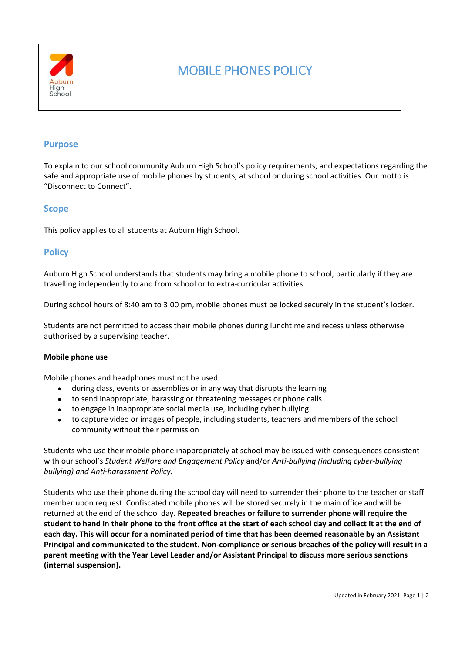

# MOBILE PHONES POLICY

# **Purpose**

To explain to our school community Auburn High School's policy requirements, and expectations regarding the safe and appropriate use of mobile phones by students, at school or during school activities. Our motto is "Disconnect to Connect".

## **Scope**

This policy applies to all students at Auburn High School.

## **Policy**

Auburn High School understands that students may bring a mobile phone to school, particularly if they are travelling independently to and from school or to extra-curricular activities.

During school hours of 8:40 am to 3:00 pm, mobile phones must be locked securely in the student's locker.

Students are not permitted to access their mobile phones during lunchtime and recess unless otherwise authorised by a supervising teacher.

#### **Mobile phone use**

Mobile phones and headphones must not be used:

- during class, events or assemblies or in any way that disrupts the learning
- to send inappropriate, harassing or threatening messages or phone calls
- to engage in inappropriate social media use, including cyber bullying
- to capture video or images of people, including students, teachers and members of the school community without their permission

Students who use their mobile phone inappropriately at school may be issued with consequences consistent with our school's *Student Welfare and Engagement Policy* and/or *Anti-bullying (including cyber-bullying bullying) and Anti-harassment Policy.*

Students who use their phone during the school day will need to surrender their phone to the teacher or staff member upon request. Confiscated mobile phones will be stored securely in the main office and will be returned at the end of the school day. **Repeated breaches or failure to surrender phone will require the student to hand in their phone to the front office at the start of each school day and collect it at the end of each day. This will occur for a nominated period of time that has been deemed reasonable by an Assistant Principal and communicated to the student. Non-compliance or serious breaches of the policy will result in a parent meeting with the Year Level Leader and/or Assistant Principal to discuss more serious sanctions (internal suspension).**